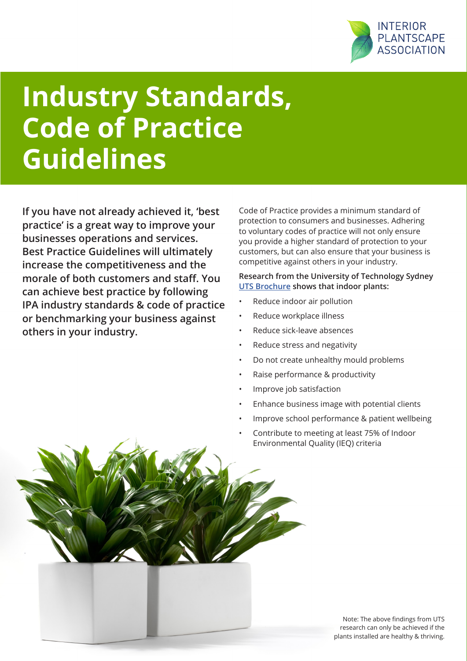

## **Industry Standards, Code of Practice Guidelines**

**If you have not already achieved it, 'best practice' is a great way to improve your businesses operations and services. Best Practice Guidelines will ultimately increase the competitiveness and the morale of both customers and staff. You can achieve best practice by following IPA industry standards & code of practice or benchmarking your business against others in your industry.**

Code of Practice provides a minimum standard of protection to consumers and businesses. Adhering to voluntary codes of practice will not only ensure you provide a higher standard of protection to your customers, but can also ensure that your business is competitive against others in your industry.

**Research from the University of Technology Sydney [UTS Brochure](http://interiorplantscape.asn.au/wp-content/uploads/2016/04/THE-UTS-Indoor-plant-brochure-V3-1.pdf) shows that indoor plants:** 

- Reduce indoor air pollution
- Reduce workplace illness
- Reduce sick-leave absences
- Reduce stress and negativity
- Do not create unhealthy mould problems
- Raise performance & productivity
- Improve job satisfaction
- Enhance business image with potential clients
- Improve school performance & patient wellbeing
- Contribute to meeting at least 75% of Indoor Environmental Quality (IEQ) criteria

Note: The above findings from UTS research can only be achieved if the plants installed are healthy & thriving.